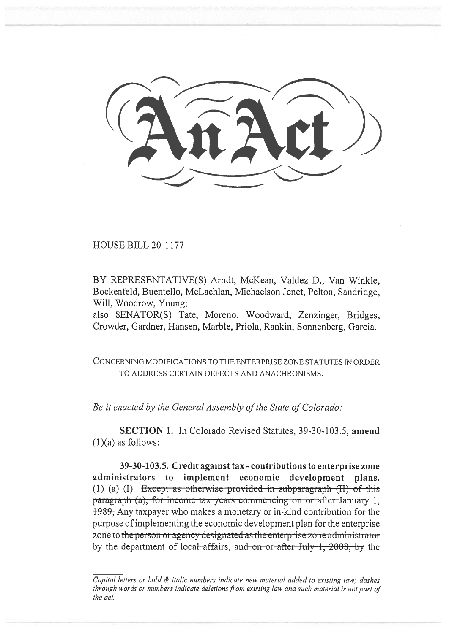**HOUSE BILL 20-1177** 

BY REPRESENTATIVE(S) Arndt, McKean, Valdez D., Van Winkle, Bockenfeld, Buentello, McLachlan, Michaelson Jenet, Pelton, Sandridge, Will, Woodrow, Young:

also SENATOR(S) Tate, Moreno, Woodward, Zenzinger, Bridges, Crowder, Gardner, Hansen, Marble, Priola, Rankin, Sonnenberg, Garcia.

CONCERNING MODIFICATIONS TO THE ENTERPRISE ZONE STATUTES IN ORDER TO ADDRESS CERTAIN DEFECTS AND ANACHRONISMS.

Be it enacted by the General Assembly of the State of Colorado:

SECTION 1. In Colorado Revised Statutes, 39-30-103.5, amend  $(1)(a)$  as follows:

39-30-103.5. Credit against tax - contributions to enterprise zone administrators to implement economic development plans. (1) (a) (I) Except as otherwise provided in subparagraph  $(H)$  of this paragraph (a), for income tax years commencing on or after January 1, 1989; Any taxpayer who makes a monetary or in-kind contribution for the purpose of implementing the economic development plan for the enterprise zone to the person or agency designated as the enterprise zone administrator by the department of local affairs, and on or after July 1, 2008, by the

Capital letters or bold  $\&$  italic numbers indicate new material added to existing law; dashes through words or numbers indicate deletions from existing law and such material is not part of the act.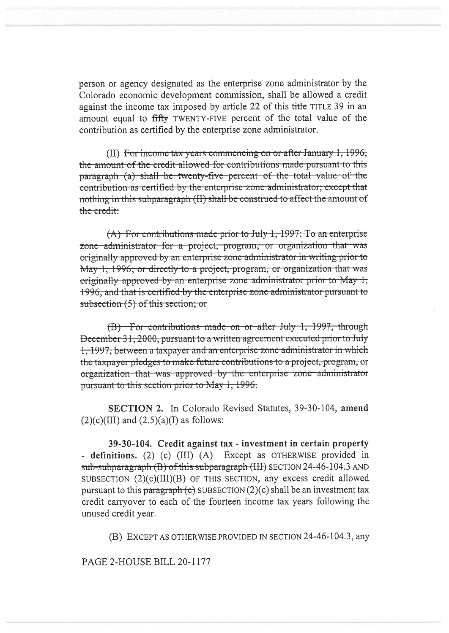person or agency designated as the enterprise zone administrator by the Colorado economic development commission, shall be allowed a credit against the income tax imposed by article 22 of this title TITLE 39 in an amount equal to fifty TWENTY-FIVE percent of the total value of the contribution as certified by the enterprise zone administrator.

(II) For income tax years commencing on or after January 1, 1996, the amount of the credit allowed for contributions made pursuant to this paragraph (a) shall be twenty-five percent of the total value of the contribution as certified by the enterprise zone administrator; except that nothing in this subparagraph (II) shall be construed to affect the amount of the credit:

 $(A)$  For contributions made prior to July 1, 1997: To an enterprise zone administrator for a project, program, or organization that was originally approved by an enterprise zone administrator in writing prior to May 1, 1996; or directly to a project, program, or organization that was originally approved by an enterprise zone administrator prior to May 1, 1996, and that is certified by the enterprise zone administrator pursuant to subsection  $(5)$  of this section; or

(B) For contributions made on or after July 1, 1997, through December 31, 2000, pursuant to a written agreement executed prior to July 1, 1997, between a taxpayer and an enterprise zone administrator in which the taxpayer pledges to make future contributions to a project, program, or organization that was approved by the enterprise zone administrator pursuant to this section prior to May 1, 1996.

**SECTION 2.** In Colorado Revised Statutes, 39-30-104, amend  $(2)(c)(III)$  and  $(2.5)(a)(I)$  as follows:

39-30-104. Credit against tax - investment in certain property - definitions. (2) (c) (III) (A) Except as OTHERWISE provided in sub-subparagraph (B) of this subparagraph (III) SECTION 24-46-104.3 AND SUBSECTION (2)(c)(III)(B) OF THIS SECTION, any excess credit allowed pursuant to this paragraph (c) SUBSECTION  $(2)(c)$  shall be an investment tax credit carryover to each of the fourteen income tax years following the unused credit year.

(B) EXCEPT AS OTHERWISE PROVIDED IN SECTION 24-46-104.3, any

PAGE 2-HOUSE BILL 20-1177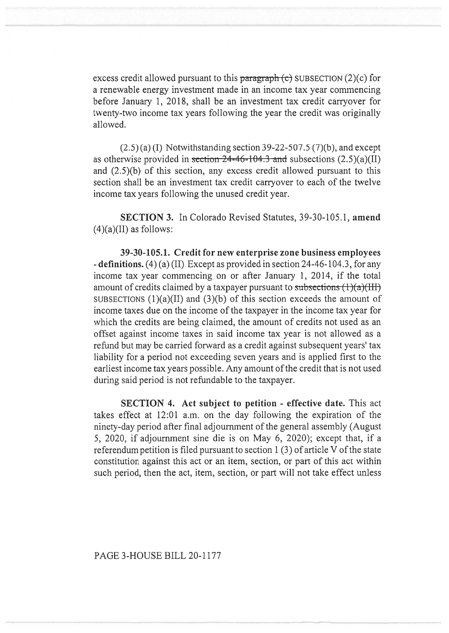excess credit allowed pursuant to this paragraph  $\langle e \rangle$  SUBSECTION (2)(c) for a renewable energy investment made in an income tax year commencing before January 1, 2018, shall be an investment tax credit carryover for twenty-two income tax years following the year the credit was originally allowed.

 $(2.5)$  (a) (I) Notwithstanding section 39-22-507.5 (7)(b), and except as otherwise provided in section  $24-46-104.3$  and subsections  $(2.5)(a)(II)$ and (2.5)(b) of this section, any excess credit allowed pursuant to this section shall be an investment tax credit carryover to each of the twelve income tax years following the unused credit year.

**SECTION 3.** In Colorado Revised Statutes, 39-30-105.1, **amend**   $(4)(a)(II)$  as follows:

**39-30-105.1. Credit for new enterprise zone business employees - definitions.** (4) (a) (II) Except as provided in section 24-46-104.3, for any income tax year commencing on or after January 1, 2014, if the total amount of credits claimed by a taxpayer pursuant to subsections  $(1)(a)(III)$ SUBSECTIONS  $(1)(a)(II)$  and  $(3)(b)$  of this section exceeds the amount of income taxes due on the income of the taxpayer in the income tax year for which the credits are being claimed, the amount of credits not used as an offset against income taxes in said income tax year is not allowed as a refund but may be carried forward as a credit against subsequent years' tax liability for a period not exceeding seven years and is applied first to the earliest income tax years possible. Any amount of the credit that is not used during said period is not refundable to the taxpayer.

**SECTION 4. Act subject to petition - effective date.** This act takes effect at 12:01 a.m. on the day following the expiration of the ninety-day period after final adjournment of the general assembly (August 5, 2020, if adjournment sine die is on May 6, 2020); except that, if a referendum petition is filed pursuant to section 1 (3) of article V of the state constitution against this act or an item, section, or part of this act within such period, then the act, item, section, or part will not take effect unless

PAGE 3-HOUSE BILL 20-1177